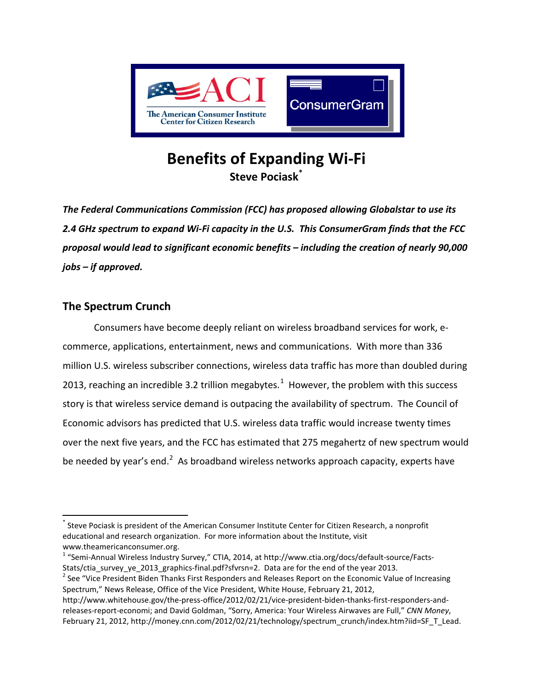

# **Benefits of Expanding Wi-Fi Steve Pociask[\\*](#page-0-0)**

*The Federal Communications Commission (FCC) has proposed allowing Globalstar to use its 2.4 GHz spectrum to expand Wi-Fi capacity in the U.S. This ConsumerGram finds that the FCC proposal would lead to significant economic benefits – including the creation of nearly 90,000 jobs – if approved.* 

## **The Spectrum Crunch**

Consumers have become deeply reliant on wireless broadband services for work, ecommerce, applications, entertainment, news and communications. With more than 336 million U.S. wireless subscriber connections, wireless data traffic has more than doubled during 20[1](#page-0-1)3, reaching an incredible 3.2 trillion megabytes.<sup>1</sup> However, the problem with this success story is that wireless service demand is outpacing the availability of spectrum. The Council of Economic advisors has predicted that U.S. wireless data traffic would increase twenty times over the next five years, and the FCC has estimated that 275 megahertz of new spectrum would be needed by year's end.<sup>[2](#page-0-2)</sup> As broadband wireless networks approach capacity, experts have

<span id="page-0-0"></span>Steve Pociask is president of the American Consumer Institute Center for Citizen Research, a nonprofit educational and research organization. For more information about the Institute, visit [www.theamericanconsumer.org.](http://www.theamericanconsumer.org/)<br><sup>[1](http://www.theamericanconsumer.org/)</sup> "Semi-Annual Wireless Industry Survey," CTIA, 2014, at [http://www.ctia.org/docs/default-source/Facts-](http://www.ctia.org/docs/default-source/Facts-Stats/ctia_survey_ye_2013_graphics-final.pdf?sfvrsn=2)

<span id="page-0-1"></span>[Stats/ctia\\_survey\\_ye\\_2013\\_graphics-final.pdf?sfvrsn=2.](http://www.ctia.org/docs/default-source/Facts-Stats/ctia_survey_ye_2013_graphics-final.pdf?sfvrsn=2) Data are for the end of the year 2013.<br><sup>2</sup> See "Vice President Biden Thanks First Responders and Releases Report on the Economic Value of Increasing

<span id="page-0-2"></span>Spectrum," News Release, Office of the Vice President, White House, February 21, 2012,

[http://www.whitehouse.gov/the-press-office/2012/02/21/vice-president-biden-thanks-first-responders-and](http://www.whitehouse.gov/the-press-office/2012/02/21/vice-president-biden-thanks-first-responders-and-releases-report-economi)[releases-report-economi;](http://www.whitehouse.gov/the-press-office/2012/02/21/vice-president-biden-thanks-first-responders-and-releases-report-economi) and David Goldman, "Sorry, America: Your Wireless Airwaves are Full," *CNN Money*, February 21, 2012[, http://money.cnn.com/2012/02/21/technology/spectrum\\_crunch/index.htm?iid=SF\\_T\\_Lead.](http://money.cnn.com/2012/02/21/technology/spectrum_crunch/index.htm?iid=SF_T_Lead)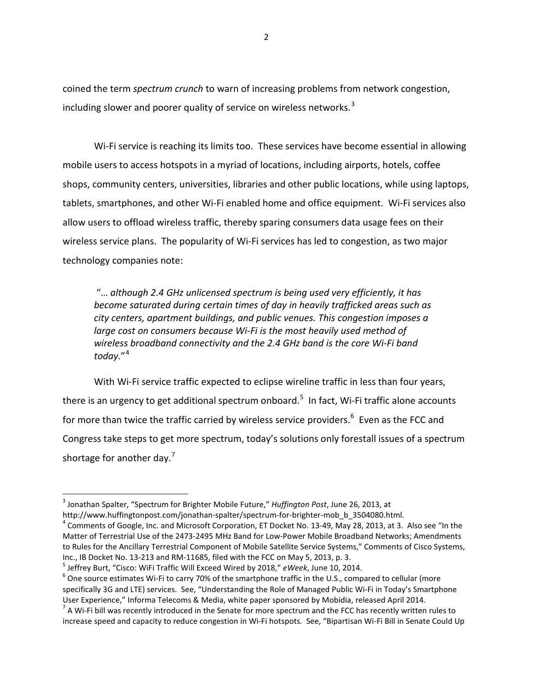coined the term *spectrum crunch* to warn of increasing problems from network congestion, including slower and poorer quality of service on wireless networks.<sup>[3](#page-1-0)</sup>

Wi-Fi service is reaching its limits too. These services have become essential in allowing mobile users to access hotspots in a myriad of locations, including airports, hotels, coffee shops, community centers, universities, libraries and other public locations, while using laptops, tablets, smartphones, and other Wi-Fi enabled home and office equipment. Wi-Fi services also allow users to offload wireless traffic, thereby sparing consumers data usage fees on their wireless service plans. The popularity of Wi-Fi services has led to congestion, as two major technology companies note:

"… *although 2.4 GHz unlicensed spectrum is being used very efficiently, it has become saturated during certain times of day in heavily trafficked areas such as city centers, apartment buildings, and public venues. This congestion imposes a large cost on consumers because Wi-Fi is the most heavily used method of wireless broadband connectivity and the 2.4 GHz band is the core Wi-Fi band today.*"[4](#page-1-1)

With Wi-Fi service traffic expected to eclipse wireline traffic in less than four years, there is an urgency to get additional spectrum onboard.<sup>[5](#page-1-2)</sup> In fact, Wi-Fi traffic alone accounts for more than twice the traffic carried by wireless service providers.<sup>[6](#page-1-3)</sup> Even as the FCC and Congress take steps to get more spectrum, today's solutions only forestall issues of a spectrum shortage for another day.<sup>[7](#page-1-4)</sup>

<span id="page-1-0"></span> <sup>3</sup> Jonathan Spalter, "Spectrum for Brighter Mobile Future," *Huffington Post*, June 26, 2013, at

<span id="page-1-1"></span>[http://www.huffingtonpost.com/jonathan-spalter/spectrum-for-brighter-mob\\_b\\_3504080.html.](http://www.huffingtonpost.com/jonathan-spalter/spectrum-for-brighter-mob_b_3504080.html)<br><sup>[4](http://www.huffingtonpost.com/jonathan-spalter/spectrum-for-brighter-mob_b_3504080.html)</sup> Comments of Google, Inc. and Microsoft Corporation, ET Docket No. 13-49, May 28, 2013, at 3. Also see "In the Matter of Terrestrial Use of the 2473-2495 MHz Band for Low-Power Mobile Broadband Networks; Amendments to Rules for the Ancillary Terrestrial Component of Mobile Satellite Service Systems," Comments of Cisco Systems, Inc., IB Docket No. 13-213 and RM-11685, filed with the FCC on May 5, 2013, p. 3.<br><sup>5</sup> Jeffrey Burt, "Cisco: WiFi Traffic Will Exceed Wired by 2018," *eWeek*, June 10, 2014.<br><sup>6</sup> One source estimates Wi-Fi to carry 70% of th

<span id="page-1-3"></span><span id="page-1-2"></span>specifically 3G and LTE) services. See, "Understanding the Role of Managed Public Wi-Fi in Today's Smartphone User Experience," Informa Telecoms & Media, white paper sponsored by Mobidia, released April 2014.<br><sup>7</sup> A Wi-Fi bill was recently introduced in the Senate for more spectrum and the FCC has recently written rules to

<span id="page-1-4"></span>increase speed and capacity to reduce congestion in Wi-Fi hotspots. See, "Bipartisan Wi-Fi Bill in Senate Could Up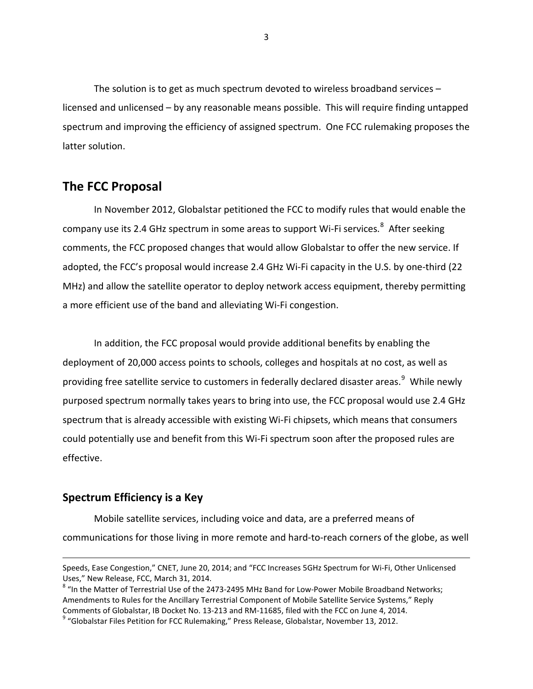The solution is to get as much spectrum devoted to wireless broadband services – licensed and unlicensed – by any reasonable means possible. This will require finding untapped spectrum and improving the efficiency of assigned spectrum. One FCC rulemaking proposes the latter solution.

## **The FCC Proposal**

In November 2012, Globalstar petitioned the FCC to modify rules that would enable the company use its 2.4 GHz spectrum in some areas to support Wi-Fi services.<sup>[8](#page-2-0)</sup> After seeking comments, the FCC proposed changes that would allow Globalstar to offer the new service. If adopted, the FCC's proposal would increase 2.4 GHz Wi-Fi capacity in the U.S. by one-third (22 MHz) and allow the satellite operator to deploy network access equipment, thereby permitting a more efficient use of the band and alleviating Wi-Fi congestion.

In addition, the FCC proposal would provide additional benefits by enabling the deployment of 20,000 access points to schools, colleges and hospitals at no cost, as well as providing free satellite service to customers in federally declared disaster areas.<sup>[9](#page-2-1)</sup> While newly purposed spectrum normally takes years to bring into use, the FCC proposal would use 2.4 GHz spectrum that is already accessible with existing Wi-Fi chipsets, which means that consumers could potentially use and benefit from this Wi-Fi spectrum soon after the proposed rules are effective.

### **Spectrum Efficiency is a Key**

 $\overline{\phantom{a}}$ 

Mobile satellite services, including voice and data, are a preferred means of communications for those living in more remote and hard-to-reach corners of the globe, as well

Speeds, Ease Congestion," CNET, June 20, 2014; and "FCC Increases 5GHz Spectrum for Wi-Fi, Other Unlicensed Uses," New Release, FCC, March 31, 2014.

<span id="page-2-0"></span><sup>&</sup>lt;sup>8</sup> "In the Matter of Terrestrial Use of the 2473-2495 MHz Band for Low-Power Mobile Broadband Networks; Amendments to Rules for the Ancillary Terrestrial Component of Mobile Satellite Service Systems," Reply Comments of Globalstar, IB Docket No. 13-213 and RM-11685, filed with the FCC on June 4, 2014.<br><sup>9</sup> "Globalstar Files Petition for FCC Rulemaking," Press Release, Globalstar, November 13, 2012.

<span id="page-2-1"></span>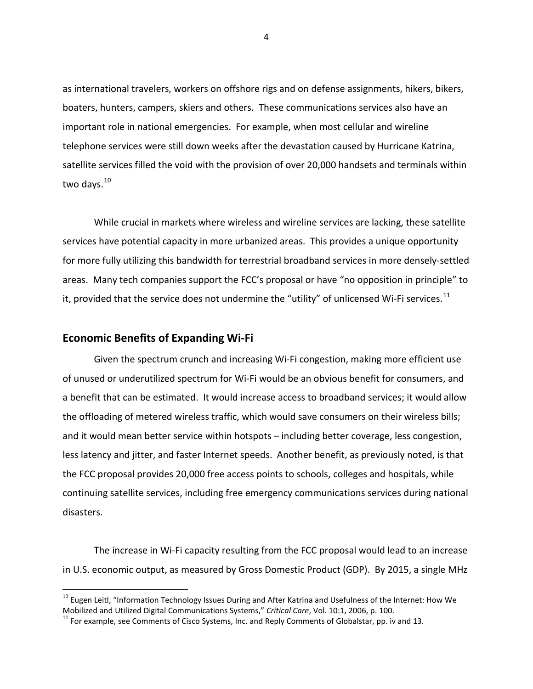as international travelers, workers on offshore rigs and on defense assignments, hikers, bikers, boaters, hunters, campers, skiers and others. These communications services also have an important role in national emergencies. For example, when most cellular and wireline telephone services were still down weeks after the devastation caused by Hurricane Katrina, satellite services filled the void with the provision of over 20,000 handsets and terminals within two days.<sup>10</sup>

While crucial in markets where wireless and wireline services are lacking, these satellite services have potential capacity in more urbanized areas. This provides a unique opportunity for more fully utilizing this bandwidth for terrestrial broadband services in more densely-settled areas. Many tech companies support the FCC's proposal or have "no opposition in principle" to it, provided that the service does not undermine the "utility" of unlicensed Wi-Fi services.<sup>[11](#page-3-1)</sup>

#### **Economic Benefits of Expanding Wi-Fi**

Given the spectrum crunch and increasing Wi-Fi congestion, making more efficient use of unused or underutilized spectrum for Wi-Fi would be an obvious benefit for consumers, and a benefit that can be estimated. It would increase access to broadband services; it would allow the offloading of metered wireless traffic, which would save consumers on their wireless bills; and it would mean better service within hotspots – including better coverage, less congestion, less latency and jitter, and faster Internet speeds. Another benefit, as previously noted, is that the FCC proposal provides 20,000 free access points to schools, colleges and hospitals, while continuing satellite services, including free emergency communications services during national disasters.

The increase in Wi-Fi capacity resulting from the FCC proposal would lead to an increase in U.S. economic output, as measured by Gross Domestic Product (GDP). By 2015, a single MHz

4

<span id="page-3-0"></span><sup>&</sup>lt;sup>10</sup> Eugen Leitl, "Information Technology Issues During and After Katrina and Usefulness of the Internet: How We<br>Mobilized and Utilized Digital Communications Systems," Critical Care, Vol. 10:1, 2006, p. 100.

<span id="page-3-1"></span><sup>&</sup>lt;sup>11</sup> For example, see Comments of Cisco Systems, Inc. and Reply Comments of Globalstar, pp. iv and 13.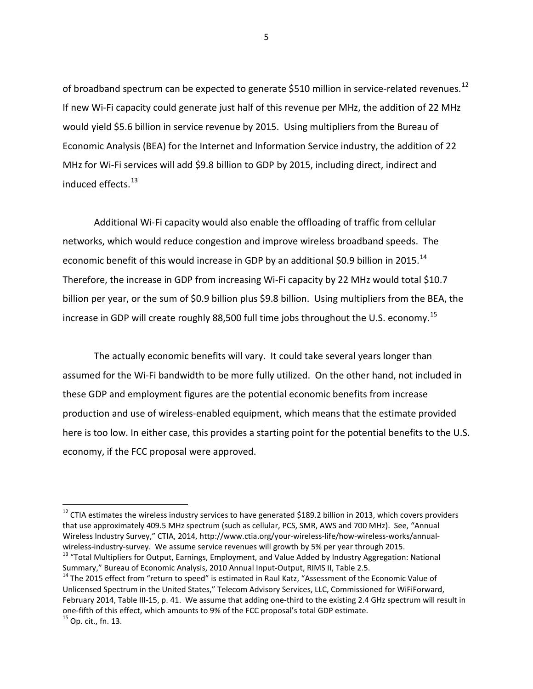of broadband spectrum can be expected to generate \$510 million in service-related revenues.<sup>12</sup> If new Wi-Fi capacity could generate just half of this revenue per MHz, the addition of 22 MHz would yield \$5.6 billion in service revenue by 2015. Using multipliers from the Bureau of Economic Analysis (BEA) for the Internet and Information Service industry, the addition of 22 MHz for Wi-Fi services will add \$9.8 billion to GDP by 2015, including direct, indirect and induced effects.<sup>13</sup>

Additional Wi-Fi capacity would also enable the offloading of traffic from cellular networks, which would reduce congestion and improve wireless broadband speeds. The economic benefit of this would increase in GDP by an additional \$0.9 billion in 2015.<sup>14</sup> Therefore, the increase in GDP from increasing Wi-Fi capacity by 22 MHz would total \$10.7 billion per year, or the sum of \$0.9 billion plus \$9.8 billion. Using multipliers from the BEA, the increase in GDP will create roughly 88,500 full time jobs throughout the U.S. economy.<sup>[15](#page-4-3)</sup>

The actually economic benefits will vary. It could take several years longer than assumed for the Wi-Fi bandwidth to be more fully utilized. On the other hand, not included in these GDP and employment figures are the potential economic benefits from increase production and use of wireless-enabled equipment, which means that the estimate provided here is too low. In either case, this provides a starting point for the potential benefits to the U.S. economy, if the FCC proposal were approved.

5

<span id="page-4-0"></span> $12$  CTIA estimates the wireless industry services to have generated \$189.2 billion in 2013, which covers providers that use approximately 409.5 MHz spectrum (such as cellular, PCS, SMR, AWS and 700 MHz). See, "Annual Wireless Industry Survey," CTIA, 2014[, http://www.ctia.org/your-wireless-life/how-wireless-works/annual](http://www.ctia.org/your-wireless-life/how-wireless-works/annual-wireless-industry-survey)[wireless-industry-survey.](http://www.ctia.org/your-wireless-life/how-wireless-works/annual-wireless-industry-survey) We assume service revenues will growth by 5% per year through 2015.<br><sup>13</sup> "Total Multipliers for Output, Earnings, Employment, and Value Added by Industry Aggregation: National

<span id="page-4-1"></span>Summary," Bureau of Economic Analysis, 2010 Annual Input-Output, RIMS II, Table 2.5.<br><sup>14</sup> The 2015 effect from "return to speed" is estimated in Raul Katz, "Assessment of the Economic Value of

<span id="page-4-3"></span><span id="page-4-2"></span>Unlicensed Spectrum in the United States," Telecom Advisory Services, LLC, Commissioned for WiFiForward, February 2014, Table III-15, p. 41. We assume that adding one-third to the existing 2.4 GHz spectrum will result in one-fifth of this effect, which amounts to 9% of the FCC proposal's total GDP estimate. 15 Op. cit., fn. 13.